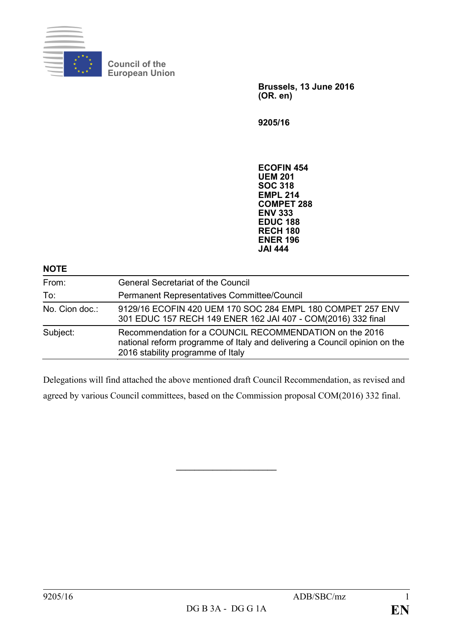

**Council of the European Union**

> **Brussels, 13 June 2016 (OR. en)**

**9205/16**

**ECOFIN 454 UEM 201 SOC 318 EMPL 214 COMPET 288 ENV 333 EDUC 188 RECH 180 ENER 196 JAI 444**

| <b>NOTE</b>    |                                                                                                                                                                            |
|----------------|----------------------------------------------------------------------------------------------------------------------------------------------------------------------------|
| From:          | <b>General Secretariat of the Council</b>                                                                                                                                  |
| To:            | Permanent Representatives Committee/Council                                                                                                                                |
| No. Cion doc.: | 9129/16 ECOFIN 420 UEM 170 SOC 284 EMPL 180 COMPET 257 ENV<br>301 EDUC 157 RECH 149 ENER 162 JAI 407 - COM(2016) 332 final                                                 |
| Subject:       | Recommendation for a COUNCIL RECOMMENDATION on the 2016<br>national reform programme of Italy and delivering a Council opinion on the<br>2016 stability programme of Italy |

Delegations will find attached the above mentioned draft Council Recommendation, as revised and agreed by various Council committees, based on the Commission proposal COM(2016) 332 final.

**\_\_\_\_\_\_\_\_\_\_\_\_\_\_\_\_\_\_\_\_\_\_**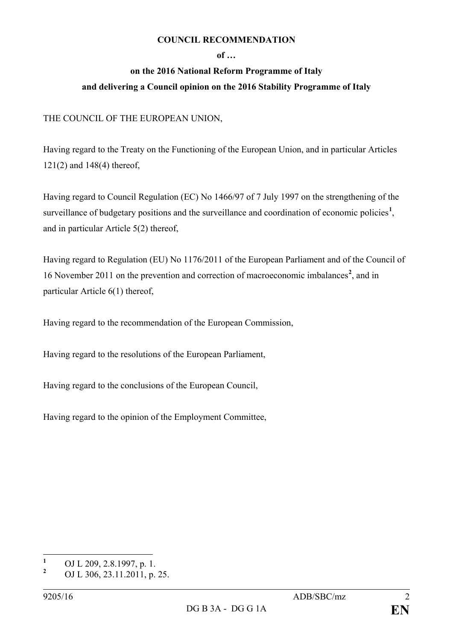## **COUNCIL RECOMMENDATION**

## **of …**

## **on the 2016 National Reform Programme of Italy and delivering a Council opinion on the 2016 Stability Programme of Italy**

## THE COUNCIL OF THE EUROPEAN UNION,

Having regard to the Treaty on the Functioning of the European Union, and in particular Articles 121(2) and 148(4) thereof,

Having regard to Council Regulation (EC) No 1466/97 of 7 July 1997 on the strengthening of the surveillance of budgetary positions and the surveillance and coordination of economic policies<sup>[1](#page-1-0)</sup>, and in particular Article 5(2) thereof,

Having regard to Regulation (EU) No 1176/2011 of the European Parliament and of the Council of 16 November 2011 on the prevention and correction of macroeconomic imbalances**[2](#page-1-1)** , and in particular Article 6(1) thereof,

Having regard to the recommendation of the European Commission,

Having regard to the resolutions of the European Parliament,

Having regard to the conclusions of the European Council,

Having regard to the opinion of the Employment Committee,

<span id="page-1-0"></span>**<sup>1</sup>** OJ L 209, 2.8.1997, p. 1.

<span id="page-1-1"></span>**<sup>2</sup>** OJ L 306, 23.11.2011, p. 25.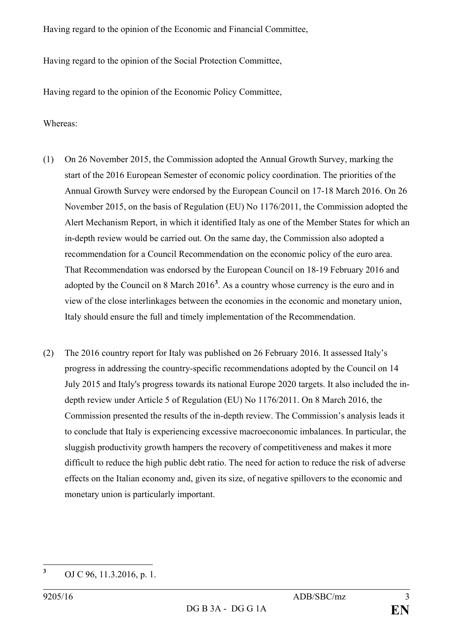Having regard to the opinion of the Economic and Financial Committee,

Having regard to the opinion of the Social Protection Committee,

Having regard to the opinion of the Economic Policy Committee,

Whereas:

- (1) On 26 November 2015, the Commission adopted the Annual Growth Survey, marking the start of the 2016 European Semester of economic policy coordination. The priorities of the Annual Growth Survey were endorsed by the European Council on 17-18 March 2016. On 26 November 2015, on the basis of Regulation (EU) No 1176/2011, the Commission adopted the Alert Mechanism Report, in which it identified Italy as one of the Member States for which an in-depth review would be carried out. On the same day, the Commission also adopted a recommendation for a Council Recommendation on the economic policy of the euro area. That Recommendation was endorsed by the European Council on 18-19 February 2016 and adopted by the Council on 8 March 2016**[3](#page-2-0)** . As a country whose currency is the euro and in view of the close interlinkages between the economies in the economic and monetary union, Italy should ensure the full and timely implementation of the Recommendation.
- (2) The 2016 country report for Italy was published on 26 February 2016. It assessed Italy's progress in addressing the country-specific recommendations adopted by the Council on 14 July 2015 and Italy's progress towards its national Europe 2020 targets. It also included the indepth review under Article 5 of Regulation (EU) No 1176/2011. On 8 March 2016, the Commission presented the results of the in-depth review. The Commission's analysis leads it to conclude that Italy is experiencing excessive macroeconomic imbalances. In particular, the sluggish productivity growth hampers the recovery of competitiveness and makes it more difficult to reduce the high public debt ratio. The need for action to reduce the risk of adverse effects on the Italian economy and, given its size, of negative spillovers to the economic and monetary union is particularly important.

<span id="page-2-0"></span>**<sup>3</sup>** OJ C 96, 11.3.2016, p. 1.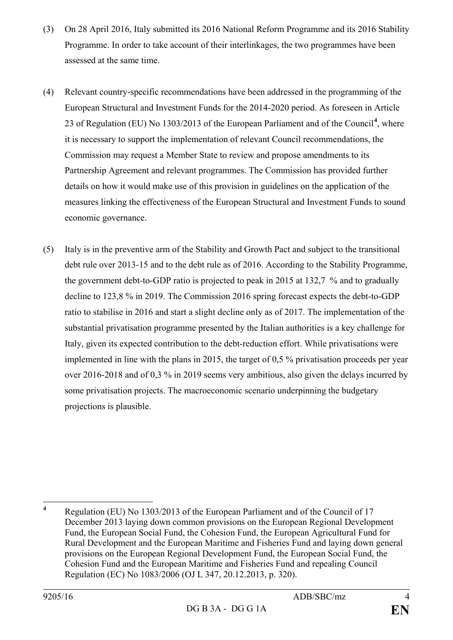- (3) On 28 April 2016, Italy submitted its 2016 National Reform Programme and its 2016 Stability Programme. In order to take account of their interlinkages, the two programmes have been assessed at the same time.
- (4) Relevant country-specific recommendations have been addressed in the programming of the European Structural and Investment Funds for the 2014-2020 period. As foreseen in Article 23 of Regulation (EU) No 1303/2013 of the European Parliament and of the Council**[4](#page-3-0)** , where it is necessary to support the implementation of relevant Council recommendations, the Commission may request a Member State to review and propose amendments to its Partnership Agreement and relevant programmes. The Commission has provided further details on how it would make use of this provision in guidelines on the application of the measures linking the effectiveness of the European Structural and Investment Funds to sound economic governance.
- (5) Italy is in the preventive arm of the Stability and Growth Pact and subject to the transitional debt rule over 2013-15 and to the debt rule as of 2016. According to the Stability Programme, the government debt-to-GDP ratio is projected to peak in 2015 at 132,7 % and to gradually decline to 123,8 % in 2019. The Commission 2016 spring forecast expects the debt-to-GDP ratio to stabilise in 2016 and start a slight decline only as of 2017. The implementation of the substantial privatisation programme presented by the Italian authorities is a key challenge for Italy, given its expected contribution to the debt-reduction effort. While privatisations were implemented in line with the plans in 2015, the target of 0,5 % privatisation proceeds per year over 2016-2018 and of 0,3 % in 2019 seems very ambitious, also given the delays incurred by some privatisation projects. The macroeconomic scenario underpinning the budgetary projections is plausible.

<span id="page-3-0"></span>**<sup>4</sup>** Regulation (EU) No 1303/2013 of the European Parliament and of the Council of 17 December 2013 laying down common provisions on the European Regional Development Fund, the European Social Fund, the Cohesion Fund, the European Agricultural Fund for Rural Development and the European Maritime and Fisheries Fund and laying down general provisions on the European Regional Development Fund, the European Social Fund, the Cohesion Fund and the European Maritime and Fisheries Fund and repealing Council Regulation (EC) No 1083/2006 (OJ L 347, 20.12.2013, p. 320).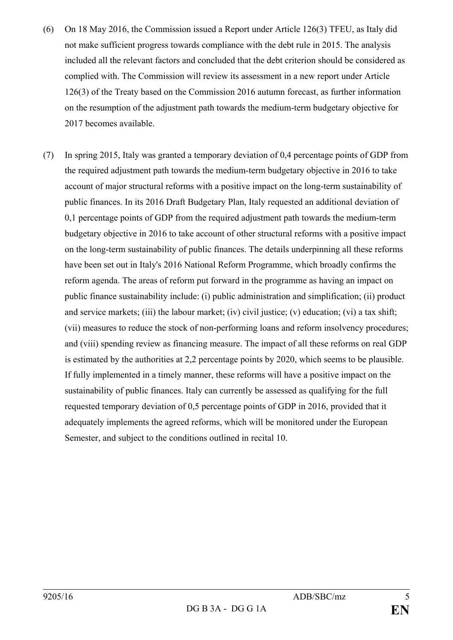- (6) On 18 May 2016, the Commission issued a Report under Article 126(3) TFEU, as Italy did not make sufficient progress towards compliance with the debt rule in 2015. The analysis included all the relevant factors and concluded that the debt criterion should be considered as complied with. The Commission will review its assessment in a new report under Article 126(3) of the Treaty based on the Commission 2016 autumn forecast, as further information on the resumption of the adjustment path towards the medium-term budgetary objective for 2017 becomes available.
- (7) In spring 2015, Italy was granted a temporary deviation of 0,4 percentage points of GDP from the required adjustment path towards the medium-term budgetary objective in 2016 to take account of major structural reforms with a positive impact on the long-term sustainability of public finances. In its 2016 Draft Budgetary Plan, Italy requested an additional deviation of 0,1 percentage points of GDP from the required adjustment path towards the medium-term budgetary objective in 2016 to take account of other structural reforms with a positive impact on the long-term sustainability of public finances. The details underpinning all these reforms have been set out in Italy's 2016 National Reform Programme, which broadly confirms the reform agenda. The areas of reform put forward in the programme as having an impact on public finance sustainability include: (i) public administration and simplification; (ii) product and service markets; (iii) the labour market; (iv) civil justice; (v) education; (vi) a tax shift; (vii) measures to reduce the stock of non-performing loans and reform insolvency procedures; and (viii) spending review as financing measure. The impact of all these reforms on real GDP is estimated by the authorities at 2,2 percentage points by 2020, which seems to be plausible. If fully implemented in a timely manner, these reforms will have a positive impact on the sustainability of public finances. Italy can currently be assessed as qualifying for the full requested temporary deviation of 0,5 percentage points of GDP in 2016, provided that it adequately implements the agreed reforms, which will be monitored under the European Semester, and subject to the conditions outlined in recital 10.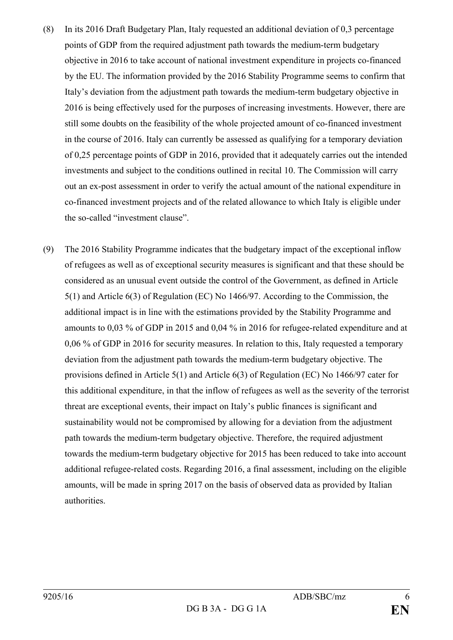- (8) In its 2016 Draft Budgetary Plan, Italy requested an additional deviation of 0,3 percentage points of GDP from the required adjustment path towards the medium-term budgetary objective in 2016 to take account of national investment expenditure in projects co-financed by the EU. The information provided by the 2016 Stability Programme seems to confirm that Italy's deviation from the adjustment path towards the medium-term budgetary objective in 2016 is being effectively used for the purposes of increasing investments. However, there are still some doubts on the feasibility of the whole projected amount of co-financed investment in the course of 2016. Italy can currently be assessed as qualifying for a temporary deviation of 0,25 percentage points of GDP in 2016, provided that it adequately carries out the intended investments and subject to the conditions outlined in recital 10. The Commission will carry out an ex-post assessment in order to verify the actual amount of the national expenditure in co-financed investment projects and of the related allowance to which Italy is eligible under the so-called "investment clause".
- (9) The 2016 Stability Programme indicates that the budgetary impact of the exceptional inflow of refugees as well as of exceptional security measures is significant and that these should be considered as an unusual event outside the control of the Government, as defined in Article 5(1) and Article 6(3) of Regulation (EC) No 1466/97. According to the Commission, the additional impact is in line with the estimations provided by the Stability Programme and amounts to 0,03 % of GDP in 2015 and 0,04 % in 2016 for refugee-related expenditure and at 0,06 % of GDP in 2016 for security measures. In relation to this, Italy requested a temporary deviation from the adjustment path towards the medium-term budgetary objective. The provisions defined in Article 5(1) and Article 6(3) of Regulation (EC) No 1466/97 cater for this additional expenditure, in that the inflow of refugees as well as the severity of the terrorist threat are exceptional events, their impact on Italy's public finances is significant and sustainability would not be compromised by allowing for a deviation from the adjustment path towards the medium-term budgetary objective. Therefore, the required adjustment towards the medium-term budgetary objective for 2015 has been reduced to take into account additional refugee-related costs. Regarding 2016, a final assessment, including on the eligible amounts, will be made in spring 2017 on the basis of observed data as provided by Italian authorities.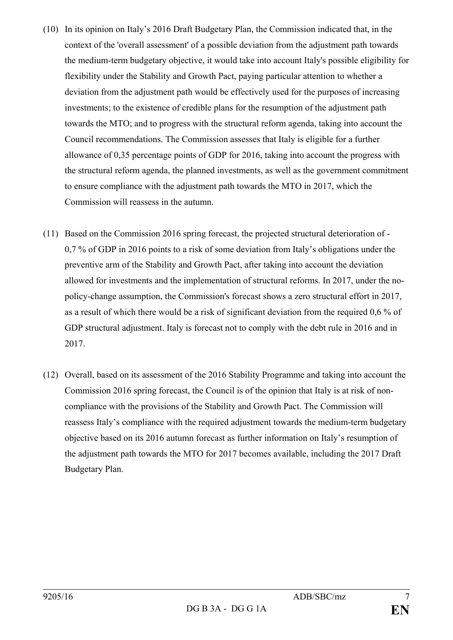- (10) In its opinion on Italy's 2016 Draft Budgetary Plan, the Commission indicated that, in the context of the 'overall assessment' of a possible deviation from the adjustment path towards the medium-term budgetary objective, it would take into account Italy's possible eligibility for flexibility under the Stability and Growth Pact, paying particular attention to whether a deviation from the adjustment path would be effectively used for the purposes of increasing investments; to the existence of credible plans for the resumption of the adjustment path towards the MTO; and to progress with the structural reform agenda, taking into account the Council recommendations. The Commission assesses that Italy is eligible for a further allowance of 0,35 percentage points of GDP for 2016, taking into account the progress with the structural reform agenda, the planned investments, as well as the government commitment to ensure compliance with the adjustment path towards the MTO in 2017, which the Commission will reassess in the autumn.
- (11) Based on the Commission 2016 spring forecast, the projected structural deterioration of 0,7 % of GDP in 2016 points to a risk of some deviation from Italy's obligations under the preventive arm of the Stability and Growth Pact, after taking into account the deviation allowed for investments and the implementation of structural reforms. In 2017, under the nopolicy-change assumption, the Commission's forecast shows a zero structural effort in 2017, as a result of which there would be a risk of significant deviation from the required 0,6 % of GDP structural adjustment. Italy is forecast not to comply with the debt rule in 2016 and in 2017.
- (12) Overall, based on its assessment of the 2016 Stability Programme and taking into account the Commission 2016 spring forecast, the Council is of the opinion that Italy is at risk of noncompliance with the provisions of the Stability and Growth Pact. The Commission will reassess Italy's compliance with the required adjustment towards the medium-term budgetary objective based on its 2016 autumn forecast as further information on Italy's resumption of the adjustment path towards the MTO for 2017 becomes available, including the 2017 Draft Budgetary Plan.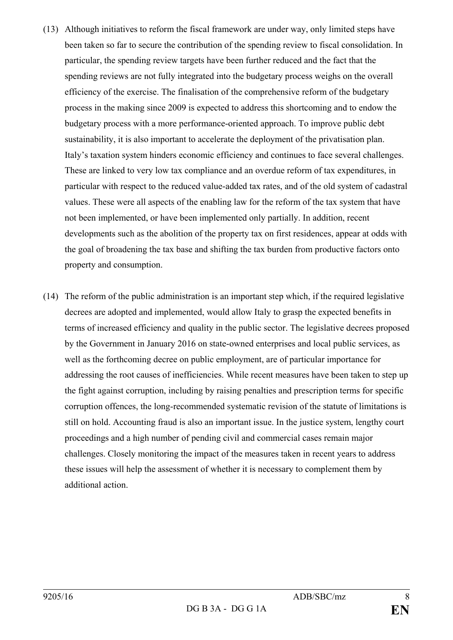- (13) Although initiatives to reform the fiscal framework are under way, only limited steps have been taken so far to secure the contribution of the spending review to fiscal consolidation. In particular, the spending review targets have been further reduced and the fact that the spending reviews are not fully integrated into the budgetary process weighs on the overall efficiency of the exercise. The finalisation of the comprehensive reform of the budgetary process in the making since 2009 is expected to address this shortcoming and to endow the budgetary process with a more performance-oriented approach. To improve public debt sustainability, it is also important to accelerate the deployment of the privatisation plan. Italy's taxation system hinders economic efficiency and continues to face several challenges. These are linked to very low tax compliance and an overdue reform of tax expenditures, in particular with respect to the reduced value-added tax rates, and of the old system of cadastral values. These were all aspects of the enabling law for the reform of the tax system that have not been implemented, or have been implemented only partially. In addition, recent developments such as the abolition of the property tax on first residences, appear at odds with the goal of broadening the tax base and shifting the tax burden from productive factors onto property and consumption.
- (14) The reform of the public administration is an important step which, if the required legislative decrees are adopted and implemented, would allow Italy to grasp the expected benefits in terms of increased efficiency and quality in the public sector. The legislative decrees proposed by the Government in January 2016 on state-owned enterprises and local public services, as well as the forthcoming decree on public employment, are of particular importance for addressing the root causes of inefficiencies. While recent measures have been taken to step up the fight against corruption, including by raising penalties and prescription terms for specific corruption offences, the long-recommended systematic revision of the statute of limitations is still on hold. Accounting fraud is also an important issue. In the justice system, lengthy court proceedings and a high number of pending civil and commercial cases remain major challenges. Closely monitoring the impact of the measures taken in recent years to address these issues will help the assessment of whether it is necessary to complement them by additional action.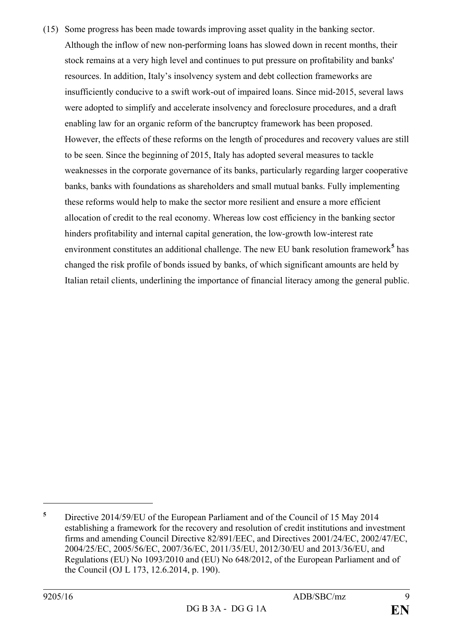(15) Some progress has been made towards improving asset quality in the banking sector. Although the inflow of new non-performing loans has slowed down in recent months, their stock remains at a very high level and continues to put pressure on profitability and banks' resources. In addition, Italy's insolvency system and debt collection frameworks are insufficiently conducive to a swift work-out of impaired loans. Since mid-2015, several laws were adopted to simplify and accelerate insolvency and foreclosure procedures, and a draft enabling law for an organic reform of the bancruptcy framework has been proposed. However, the effects of these reforms on the length of procedures and recovery values are still to be seen. Since the beginning of 2015, Italy has adopted several measures to tackle weaknesses in the corporate governance of its banks, particularly regarding larger cooperative banks, banks with foundations as shareholders and small mutual banks. Fully implementing these reforms would help to make the sector more resilient and ensure a more efficient allocation of credit to the real economy. Whereas low cost efficiency in the banking sector hinders profitability and internal capital generation, the low-growth low-interest rate environment constitutes an additional challenge. The new EU bank resolution framework**[5](#page-8-0)** has changed the risk profile of bonds issued by banks, of which significant amounts are held by Italian retail clients, underlining the importance of financial literacy among the general public.

 $\overline{a}$ 

<span id="page-8-0"></span>**<sup>5</sup>** Directive 2014/59/EU of the European Parliament and of the Council of 15 May 2014 establishing a framework for the recovery and resolution of credit institutions and investment firms and amending Council Directive 82/891/EEC, and Directives 2001/24/EC, 2002/47/EC, 2004/25/EC, 2005/56/EC, 2007/36/EC, 2011/35/EU, 2012/30/EU and 2013/36/EU, and Regulations (EU) No 1093/2010 and (EU) No 648/2012, of the European Parliament and of the Council (OJ L 173, 12.6.2014, p. 190).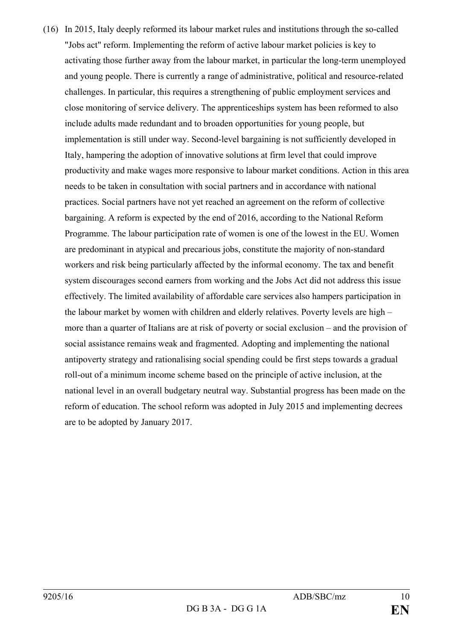(16) In 2015, Italy deeply reformed its labour market rules and institutions through the so-called "Jobs act" reform. Implementing the reform of active labour market policies is key to activating those further away from the labour market, in particular the long-term unemployed and young people. There is currently a range of administrative, political and resource-related challenges. In particular, this requires a strengthening of public employment services and close monitoring of service delivery. The apprenticeships system has been reformed to also include adults made redundant and to broaden opportunities for young people, but implementation is still under way. Second-level bargaining is not sufficiently developed in Italy, hampering the adoption of innovative solutions at firm level that could improve productivity and make wages more responsive to labour market conditions. Action in this area needs to be taken in consultation with social partners and in accordance with national practices. Social partners have not yet reached an agreement on the reform of collective bargaining. A reform is expected by the end of 2016, according to the National Reform Programme. The labour participation rate of women is one of the lowest in the EU. Women are predominant in atypical and precarious jobs, constitute the majority of non-standard workers and risk being particularly affected by the informal economy. The tax and benefit system discourages second earners from working and the Jobs Act did not address this issue effectively. The limited availability of affordable care services also hampers participation in the labour market by women with children and elderly relatives. Poverty levels are high – more than a quarter of Italians are at risk of poverty or social exclusion – and the provision of social assistance remains weak and fragmented. Adopting and implementing the national antipoverty strategy and rationalising social spending could be first steps towards a gradual roll-out of a minimum income scheme based on the principle of active inclusion, at the national level in an overall budgetary neutral way. Substantial progress has been made on the reform of education. The school reform was adopted in July 2015 and implementing decrees are to be adopted by January 2017.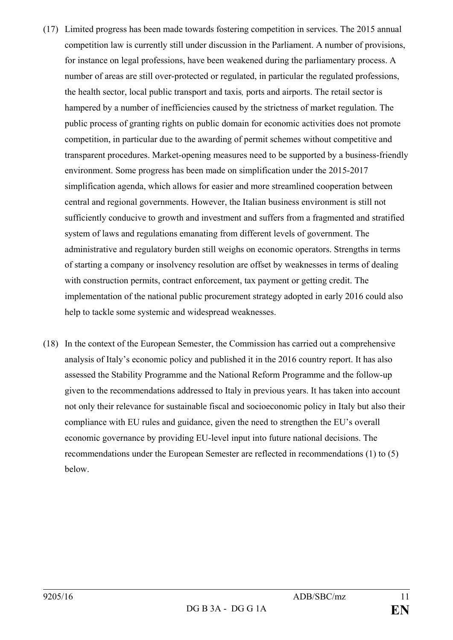- (17) Limited progress has been made towards fostering competition in services. The 2015 annual competition law is currently still under discussion in the Parliament. A number of provisions, for instance on legal professions, have been weakened during the parliamentary process. A number of areas are still over-protected or regulated, in particular the regulated professions, the health sector, local public transport and taxis*,* ports and airports. The retail sector is hampered by a number of inefficiencies caused by the strictness of market regulation. The public process of granting rights on public domain for economic activities does not promote competition, in particular due to the awarding of permit schemes without competitive and transparent procedures. Market-opening measures need to be supported by a business-friendly environment. Some progress has been made on simplification under the 2015-2017 simplification agenda, which allows for easier and more streamlined cooperation between central and regional governments. However, the Italian business environment is still not sufficiently conducive to growth and investment and suffers from a fragmented and stratified system of laws and regulations emanating from different levels of government. The administrative and regulatory burden still weighs on economic operators. Strengths in terms of starting a company or insolvency resolution are offset by weaknesses in terms of dealing with construction permits, contract enforcement, tax payment or getting credit. The implementation of the national public procurement strategy adopted in early 2016 could also help to tackle some systemic and widespread weaknesses.
- (18) In the context of the European Semester, the Commission has carried out a comprehensive analysis of Italy's economic policy and published it in the 2016 country report. It has also assessed the Stability Programme and the National Reform Programme and the follow-up given to the recommendations addressed to Italy in previous years. It has taken into account not only their relevance for sustainable fiscal and socioeconomic policy in Italy but also their compliance with EU rules and guidance, given the need to strengthen the EU's overall economic governance by providing EU-level input into future national decisions. The recommendations under the European Semester are reflected in recommendations (1) to (5) below.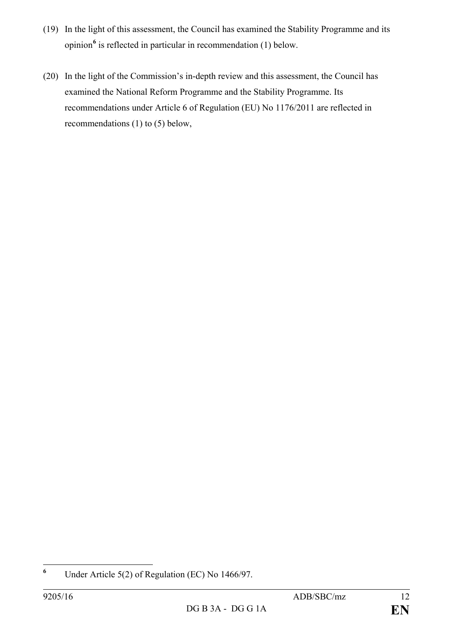- (19) In the light of this assessment, the Council has examined the Stability Programme and its opinion**[6](#page-11-0)** is reflected in particular in recommendation (1) below.
- (20) In the light of the Commission's in-depth review and this assessment, the Council has examined the National Reform Programme and the Stability Programme. Its recommendations under Article 6 of Regulation (EU) No 1176/2011 are reflected in recommendations (1) to (5) below,

<span id="page-11-0"></span>**<sup>6</sup>** Under Article 5(2) of Regulation (EC) No 1466/97.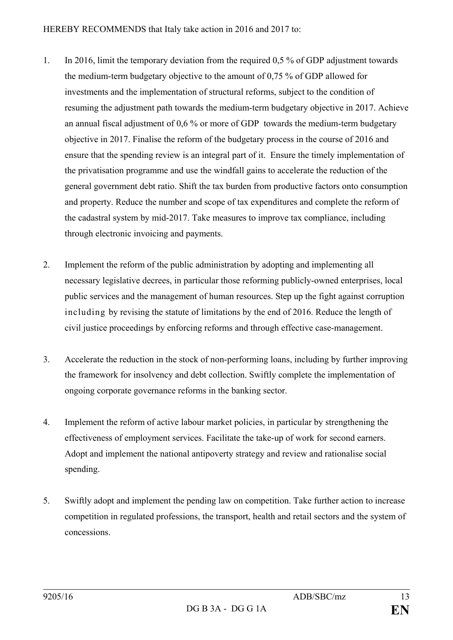- 1. In 2016, limit the temporary deviation from the required 0,5 % of GDP adjustment towards the medium-term budgetary objective to the amount of 0,75 % of GDP allowed for investments and the implementation of structural reforms, subject to the condition of resuming the adjustment path towards the medium-term budgetary objective in 2017. Achieve an annual fiscal adjustment of 0,6 % or more of GDP towards the medium-term budgetary objective in 2017. Finalise the reform of the budgetary process in the course of 2016 and ensure that the spending review is an integral part of it. Ensure the timely implementation of the privatisation programme and use the windfall gains to accelerate the reduction of the general government debt ratio. Shift the tax burden from productive factors onto consumption and property. Reduce the number and scope of tax expenditures and complete the reform of the cadastral system by mid-2017. Take measures to improve tax compliance, including through electronic invoicing and payments.
- 2. Implement the reform of the public administration by adopting and implementing all necessary legislative decrees, in particular those reforming publicly-owned enterprises, local public services and the management of human resources. Step up the fight against corruption including by revising the statute of limitations by the end of 2016. Reduce the length of civil justice proceedings by enforcing reforms and through effective case-management.
- 3. Accelerate the reduction in the stock of non-performing loans, including by further improving the framework for insolvency and debt collection. Swiftly complete the implementation of ongoing corporate governance reforms in the banking sector.
- 4. Implement the reform of active labour market policies, in particular by strengthening the effectiveness of employment services. Facilitate the take-up of work for second earners. Adopt and implement the national antipoverty strategy and review and rationalise social spending.
- 5. Swiftly adopt and implement the pending law on competition. Take further action to increase competition in regulated professions, the transport, health and retail sectors and the system of concessions.